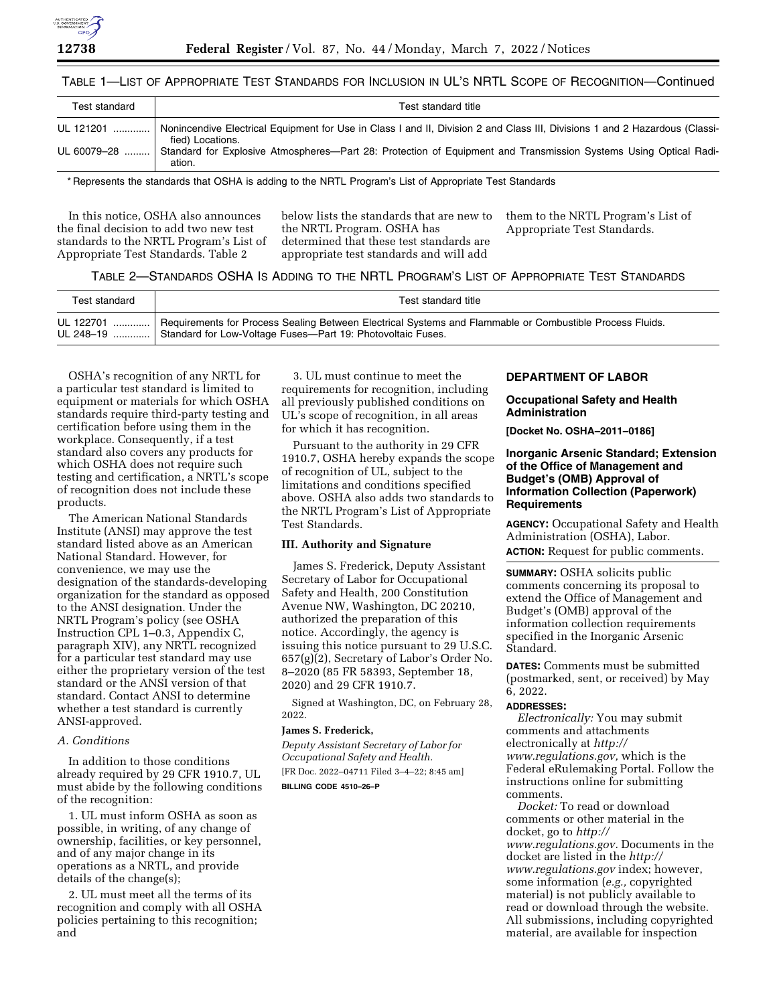

# TABLE 1—LIST OF APPROPRIATE TEST STANDARDS FOR INCLUSION IN UL'S NRTL SCOPE OF RECOGNITION—Continued

| Test standard | Test standard title                                                                                                                             |
|---------------|-------------------------------------------------------------------------------------------------------------------------------------------------|
| UL 121201     | Nonincendive Electrical Equipment for Use in Class I and II, Division 2 and Class III, Divisions 1 and 2 Hazardous (Classi-<br>fied) Locations. |
|               | UL 60079–28  Standard for Explosive Atmospheres—Part 28: Protection of Equipment and Transmission Systems Using Optical Radi-<br>ation.         |

\* Represents the standards that OSHA is adding to the NRTL Program's List of Appropriate Test Standards

In this notice, OSHA also announces the final decision to add two new test standards to the NRTL Program's List of Appropriate Test Standards. Table 2

below lists the standards that are new to the NRTL Program. OSHA has determined that these test standards are appropriate test standards and will add

them to the NRTL Program's List of Appropriate Test Standards.

# TABLE 2—STANDARDS OSHA IS ADDING TO THE NRTL PROGRAM'S LIST OF APPROPRIATE TEST STANDARDS

| Test standard | Test standard title                                                                                                                                                                               |
|---------------|---------------------------------------------------------------------------------------------------------------------------------------------------------------------------------------------------|
|               | UL 122701    Requirements for Process Sealing Between Electrical Systems and Flammable or Combustible Process Fluids.<br>UL 248-19    Standard for Low-Voltage Fuses-Part 19: Photovoltaic Fuses. |

OSHA's recognition of any NRTL for a particular test standard is limited to equipment or materials for which OSHA standards require third-party testing and certification before using them in the workplace. Consequently, if a test standard also covers any products for which OSHA does not require such testing and certification, a NRTL's scope of recognition does not include these products.

The American National Standards Institute (ANSI) may approve the test standard listed above as an American National Standard. However, for convenience, we may use the designation of the standards-developing organization for the standard as opposed to the ANSI designation. Under the NRTL Program's policy (see OSHA Instruction CPL 1–0.3, Appendix C, paragraph XIV), any NRTL recognized for a particular test standard may use either the proprietary version of the test standard or the ANSI version of that standard. Contact ANSI to determine whether a test standard is currently ANSI-approved.

## *A. Conditions*

In addition to those conditions already required by 29 CFR 1910.7, UL must abide by the following conditions of the recognition:

1. UL must inform OSHA as soon as possible, in writing, of any change of ownership, facilities, or key personnel, and of any major change in its operations as a NRTL, and provide details of the change(s);

2. UL must meet all the terms of its recognition and comply with all OSHA policies pertaining to this recognition; and

3. UL must continue to meet the requirements for recognition, including all previously published conditions on UL's scope of recognition, in all areas for which it has recognition.

Pursuant to the authority in 29 CFR 1910.7, OSHA hereby expands the scope of recognition of UL, subject to the limitations and conditions specified above. OSHA also adds two standards to the NRTL Program's List of Appropriate Test Standards.

## **III. Authority and Signature**

James S. Frederick, Deputy Assistant Secretary of Labor for Occupational Safety and Health, 200 Constitution Avenue NW, Washington, DC 20210, authorized the preparation of this notice. Accordingly, the agency is issuing this notice pursuant to 29 U.S.C. 657(g)(2), Secretary of Labor's Order No. 8–2020 (85 FR 58393, September 18, 2020) and 29 CFR 1910.7.

Signed at Washington, DC, on February 28, 2022.

## **James S. Frederick,**

*Deputy Assistant Secretary of Labor for Occupational Safety and Health.*  [FR Doc. 2022–04711 Filed 3–4–22; 8:45 am] **BILLING CODE 4510–26–P** 

# **DEPARTMENT OF LABOR**

### **Occupational Safety and Health Administration**

**[Docket No. OSHA–2011–0186]** 

# **Inorganic Arsenic Standard; Extension of the Office of Management and Budget's (OMB) Approval of Information Collection (Paperwork) Requirements**

**AGENCY:** Occupational Safety and Health Administration (OSHA), Labor. **ACTION:** Request for public comments.

**SUMMARY:** OSHA solicits public comments concerning its proposal to extend the Office of Management and Budget's (OMB) approval of the information collection requirements specified in the Inorganic Arsenic Standard.

**DATES:** Comments must be submitted (postmarked, sent, or received) by May 6, 2022.

#### **ADDRESSES:**

*Electronically:* You may submit comments and attachments electronically at *[http://](http://www.regulations.gov) [www.regulations.gov,](http://www.regulations.gov)* which is the Federal eRulemaking Portal. Follow the instructions online for submitting comments.

*Docket:* To read or download comments or other material in the docket, go to *[http://](http://www.regulations.gov) [www.regulations.gov.](http://www.regulations.gov)* Documents in the docket are listed in the *[http://](http://www.regulations.gov) [www.regulations.gov](http://www.regulations.gov)* index; however, some information (*e.g.,* copyrighted material) is not publicly available to read or download through the website. All submissions, including copyrighted material, are available for inspection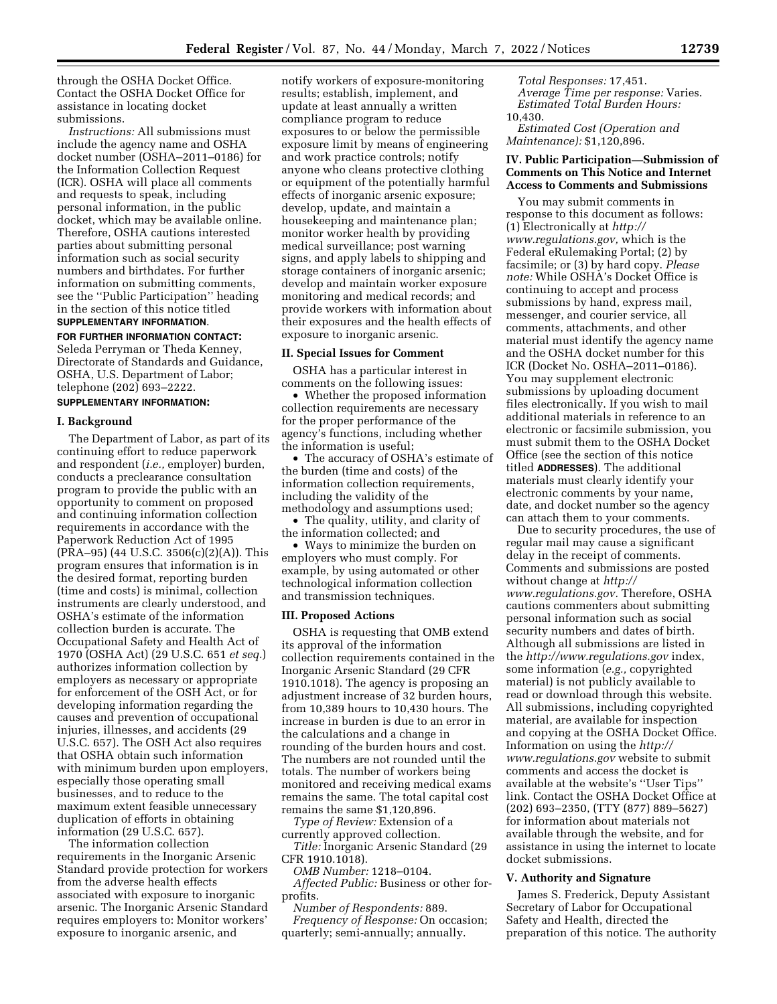through the OSHA Docket Office. Contact the OSHA Docket Office for assistance in locating docket submissions.

*Instructions:* All submissions must include the agency name and OSHA docket number (OSHA–2011–0186) for the Information Collection Request (ICR). OSHA will place all comments and requests to speak, including personal information, in the public docket, which may be available online. Therefore, OSHA cautions interested parties about submitting personal information such as social security numbers and birthdates. For further information on submitting comments, see the ''Public Participation'' heading in the section of this notice titled **SUPPLEMENTARY INFORMATION**.

#### **FOR FURTHER INFORMATION CONTACT:**

Seleda Perryman or Theda Kenney, Directorate of Standards and Guidance, OSHA, U.S. Department of Labor; telephone (202) 693–2222.

# **SUPPLEMENTARY INFORMATION:**

#### **I. Background**

The Department of Labor, as part of its continuing effort to reduce paperwork and respondent (*i.e.,* employer) burden, conducts a preclearance consultation program to provide the public with an opportunity to comment on proposed and continuing information collection requirements in accordance with the Paperwork Reduction Act of 1995 (PRA–95) (44 U.S.C. 3506(c)(2)(A)). This program ensures that information is in the desired format, reporting burden (time and costs) is minimal, collection instruments are clearly understood, and OSHA's estimate of the information collection burden is accurate. The Occupational Safety and Health Act of 1970 (OSHA Act) (29 U.S.C. 651 *et seq.*) authorizes information collection by employers as necessary or appropriate for enforcement of the OSH Act, or for developing information regarding the causes and prevention of occupational injuries, illnesses, and accidents (29 U.S.C. 657). The OSH Act also requires that OSHA obtain such information with minimum burden upon employers, especially those operating small businesses, and to reduce to the maximum extent feasible unnecessary duplication of efforts in obtaining information (29 U.S.C. 657).

The information collection requirements in the Inorganic Arsenic Standard provide protection for workers from the adverse health effects associated with exposure to inorganic arsenic. The Inorganic Arsenic Standard requires employers to: Monitor workers' exposure to inorganic arsenic, and

notify workers of exposure-monitoring results; establish, implement, and update at least annually a written compliance program to reduce exposures to or below the permissible exposure limit by means of engineering and work practice controls; notify anyone who cleans protective clothing or equipment of the potentially harmful effects of inorganic arsenic exposure; develop, update, and maintain a housekeeping and maintenance plan; monitor worker health by providing medical surveillance; post warning signs, and apply labels to shipping and storage containers of inorganic arsenic; develop and maintain worker exposure monitoring and medical records; and provide workers with information about their exposures and the health effects of exposure to inorganic arsenic.

### **II. Special Issues for Comment**

OSHA has a particular interest in comments on the following issues:

• Whether the proposed information collection requirements are necessary for the proper performance of the agency's functions, including whether the information is useful;

• The accuracy of OSHA's estimate of the burden (time and costs) of the information collection requirements, including the validity of the methodology and assumptions used;

• The quality, utility, and clarity of the information collected; and

• Ways to minimize the burden on employers who must comply. For example, by using automated or other technological information collection and transmission techniques.

#### **III. Proposed Actions**

OSHA is requesting that OMB extend its approval of the information collection requirements contained in the Inorganic Arsenic Standard (29 CFR 1910.1018). The agency is proposing an adjustment increase of 32 burden hours, from 10,389 hours to 10,430 hours. The increase in burden is due to an error in the calculations and a change in rounding of the burden hours and cost. The numbers are not rounded until the totals. The number of workers being monitored and receiving medical exams remains the same. The total capital cost remains the same \$1,120,896.

*Type of Review:* Extension of a currently approved collection.

*Title:* Inorganic Arsenic Standard (29 CFR 1910.1018).

*OMB Number:* 1218–0104.

*Affected Public:* Business or other forprofits.

*Number of Respondents:* 889.

*Frequency of Response:* On occasion; quarterly; semi-annually; annually.

*Total Responses:* 17,451. *Average Time per response:* Varies. *Estimated Total Burden Hours:*  10,430.

*Estimated Cost (Operation and Maintenance):* \$1,120,896.

## **IV. Public Participation—Submission of Comments on This Notice and Internet Access to Comments and Submissions**

You may submit comments in response to this document as follows: (1) Electronically at *[http://](http://www.regulations.gov) [www.regulations.gov,](http://www.regulations.gov)* which is the Federal eRulemaking Portal; (2) by facsimile; or (3) by hard copy. *Please note:* While OSHA's Docket Office is continuing to accept and process submissions by hand, express mail, messenger, and courier service, all comments, attachments, and other material must identify the agency name and the OSHA docket number for this ICR (Docket No. OSHA–2011–0186). You may supplement electronic submissions by uploading document files electronically. If you wish to mail additional materials in reference to an electronic or facsimile submission, you must submit them to the OSHA Docket Office (see the section of this notice titled **ADDRESSES**). The additional materials must clearly identify your electronic comments by your name, date, and docket number so the agency can attach them to your comments.

Due to security procedures, the use of regular mail may cause a significant delay in the receipt of comments. Comments and submissions are posted without change at *[http://](http://www.regulations.gov) [www.regulations.gov.](http://www.regulations.gov)* Therefore, OSHA cautions commenters about submitting personal information such as social security numbers and dates of birth. Although all submissions are listed in the *<http://www.regulations.gov>*index, some information (*e.g.,* copyrighted material) is not publicly available to read or download through this website. All submissions, including copyrighted material, are available for inspection and copying at the OSHA Docket Office. Information on using the *[http://](http://www.regulations.gov) [www.regulations.gov](http://www.regulations.gov)* website to submit comments and access the docket is available at the website's ''User Tips'' link. Contact the OSHA Docket Office at (202) 693–2350, (TTY (877) 889–5627) for information about materials not available through the website, and for assistance in using the internet to locate docket submissions.

#### **V. Authority and Signature**

James S. Frederick, Deputy Assistant Secretary of Labor for Occupational Safety and Health, directed the preparation of this notice. The authority